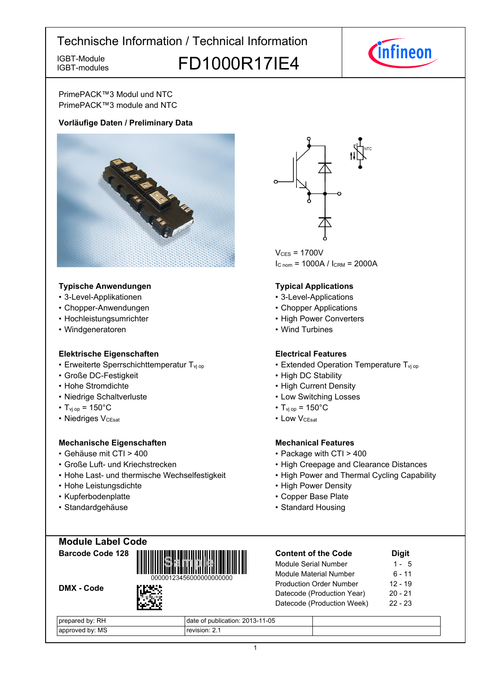IGBT-modules

IGBT-Module<br>IGBT-modules FD1000R17IE4



PrimePACK™3 Modul und NTC PrimePACK™3 module and NTC

### **Vorläufige-Daten-/-Preliminary-Data**



#### **Typische-Anwendungen Typical-**

- 3-Level-Applikationen 3-Level-Applications
- Chopper-Anwendungen Chopper-
- Hochleistungsumrichter
- Windgeneratoren

#### **Elektrische Eigenschaften Electrical-**

- Erweiterte Sperrschichttemperatur T<sub>vj</sub>
- Große-DC-Festigkeit High-
- Hohe-Stromdichte High-
- Niedrige-Schaltverluste Low-
- $T_{\text{vj}}$  op = 150°C T<sub>vj</sub>
- Niedriges V<sub>CEsat</sub>

### **Mechanische Eigenschaften Mechanical-**

- Gehäuse mit CTI >
- Große Luft- und Kriechstrecken High
- Hohe Last- und thermische Wechselfestigkeit High
- Hohe Leistungsdichte High
- Kupferbodenplatte
- Standardgehäuse Standard-



 $V_{CFS}$  = 1700V  $I_{C n o m}$  = 1000A /  $I_{C R M}$  = 2000A

### **Typical Applications**

- 
- Chopper Applications
- Power Converters
- Wind Turbines

### **Electrical Features**

- op  **Extended Operation Temperature T**<sub>vj op</sub>
	- DC Stability
	- **Current Density**
	- Switching Losses
	- $_{\text{op}}$  = 150 $^{\circ}$ C
- $V_{\text{CEsat}}$  Low  $V_{\text{CEsat}}$

### **Mechanical Features**

- 400 Package with CTI > 400
	- Creepage and Clearance Distances
	- Power and Thermal Cycling Capability
	- Power Density
	- Base-Plate
	- Standard Housing

| <b>Module Label Cod</b> |  |  |  |
|-------------------------|--|--|--|
|                         |  |  |  |

**Barcode-Code-128**





| <b>Content of the Code</b>     | <b>Digit</b> |
|--------------------------------|--------------|
| Module Serial Number           | 1 - 5        |
| Module Material Number         | 6 - 11       |
| <b>Production Order Number</b> | $12 - 19$    |
| Datecode (Production Year)     | $20 - 21$    |
| Datecode (Production Week)     | $22 - 23$    |
|                                |              |

| R۲<br>bv.<br>ec                      | 1-05<br>oublication: 2013-1<br>717ء |  |
|--------------------------------------|-------------------------------------|--|
| <b>MS</b><br>. bv:<br>roved<br>annrı | $Y$ vision: $2.1$                   |  |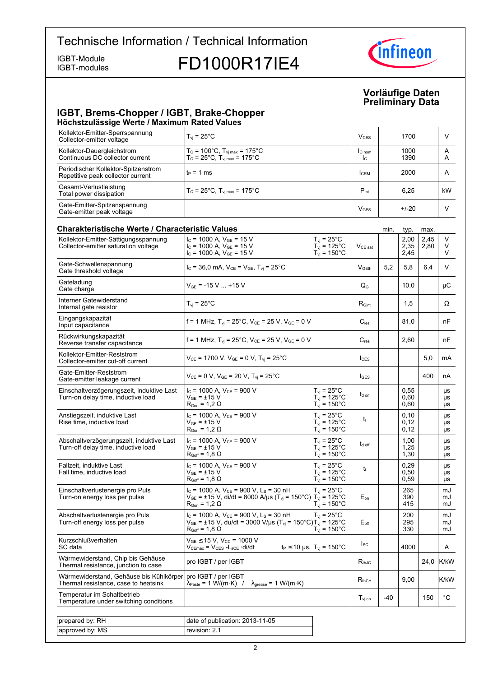IGBT-modules

IGBT-Module<br>IGBT-modules **FD1000R17IE4** 



### **Vorläufige-Daten Preliminary-Data**

### **IGBT, Brems-Chopper / IGBT, Brake-Chopper Höchstzulässige-Werte-/-Maximum-Rated-Values**

| Kollektor-Emitter-Sperrspannung<br>Collector-emitter voltage                    | $T_{vi}$ = 25°C                                                                                                                                                                                 |                                                                               | $V_{CES}$                              |      | 1700                 |              | V              |
|---------------------------------------------------------------------------------|-------------------------------------------------------------------------------------------------------------------------------------------------------------------------------------------------|-------------------------------------------------------------------------------|----------------------------------------|------|----------------------|--------------|----------------|
| Kollektor-Dauergleichstrom<br>Continuous DC collector current                   | $T_c = 100^{\circ}$ C, $T_{\text{vj max}} = 175^{\circ}$ C<br>$T_c = 25^{\circ}$ C, $T_{vj \text{ max}} = 175^{\circ}$ C                                                                        |                                                                               | $C_{nom}$<br>$\mathsf{I}_{\mathsf{C}}$ |      | 1000<br>1390         |              | A<br>A         |
| Periodischer Kollektor-Spitzenstrom<br>Repetitive peak collector current        | $t_P = 1$ ms                                                                                                                                                                                    |                                                                               | <b>I</b> CRM                           |      | 2000                 |              | A              |
| Gesamt-Verlustleistung<br>Total power dissipation                               | $T_c = 25^{\circ}$ C, $T_{\text{vj max}} = 175^{\circ}$ C                                                                                                                                       |                                                                               | $P_{\text{tot}}$                       |      | 6,25                 |              | kW             |
| Gate-Emitter-Spitzenspannung<br>Gate-emitter peak voltage                       |                                                                                                                                                                                                 |                                                                               | $V_{GES}$                              |      | $+/-20$              |              | V              |
| <b>Charakteristische Werte / Characteristic Values</b>                          |                                                                                                                                                                                                 |                                                                               |                                        | min. | typ.                 | max.         |                |
| Kollektor-Emitter-Sättigungsspannung<br>Collector-emitter saturation voltage    | $I_c$ = 1000 A, $V_{GE}$ = 15 V<br>$I_c$ = 1000 A, $V_{GE}$ = 15 V<br>$I_c$ = 1000 A, $V_{GE}$ = 15 V                                                                                           | $T_{vi}$ = 25°C<br>$T_{\text{vj}}$ = 125°C<br>$T_{vi}$ = 150 $^{\circ}$ C     | $V_{CE\ sat}$                          |      | 2,00<br>2,35<br>2,45 | 2,45<br>2,80 | V<br>V<br>V    |
| Gate-Schwellenspannung<br>Gate threshold voltage                                | $I_C = 36,0$ mA, $V_{CE} = V_{GE}$ , $T_{vi} = 25^{\circ}C$                                                                                                                                     |                                                                               | V <sub>GEth</sub>                      | 5,2  | 5,8                  | 6,4          | V              |
| Gateladung<br>Gate charge                                                       | $V_{GE}$ = -15 V  +15 V                                                                                                                                                                         |                                                                               | $Q_{G}$                                |      | 10,0                 |              | μC             |
| Interner Gatewiderstand<br>Internal gate resistor                               | $T_{\rm vj}$ = 25°C                                                                                                                                                                             |                                                                               | $R_{\text{Gint}}$                      |      | 1,5                  |              | Ω              |
| Eingangskapazität<br>Input capacitance                                          | f = 1 MHz, $T_{vi}$ = 25°C, $V_{CE}$ = 25 V, $V_{GE}$ = 0 V                                                                                                                                     |                                                                               | $C_{\text{ies}}$                       |      | 81,0                 |              | nF             |
| Rückwirkungskapazität<br>Reverse transfer capacitance                           | f = 1 MHz, $T_{vi}$ = 25°C, $V_{CE}$ = 25 V, $V_{GE}$ = 0 V                                                                                                                                     |                                                                               | $C_{res}$                              |      | 2,60                 |              | nF             |
| Kollektor-Emitter-Reststrom<br>Collector-emitter cut-off current                | $V_{CE}$ = 1700 V, $V_{GE}$ = 0 V, $T_{vi}$ = 25°C                                                                                                                                              |                                                                               | $I_{\text{CES}}$                       |      |                      | 5,0          | mA             |
| Gate-Emitter-Reststrom<br>Gate-emitter leakage current                          | $V_{CE} = 0 V$ , $V_{GE} = 20 V$ , $T_{vi} = 25^{\circ}C$                                                                                                                                       |                                                                               | $I_{\text{GES}}$                       |      |                      | 400          | nA             |
| Einschaltverzögerungszeit, induktive Last<br>Turn-on delay time, inductive load | $I_c$ = 1000 A, $V_{CE}$ = 900 V<br>$V_{GE}$ = $\pm$ 15 V<br>$R_{\text{Gon}} = 1,2 \Omega$                                                                                                      | $T_{\rm vj}$ = 25°C<br>$T_{\text{vj}}$ = 125°C<br>$T_{\text{vj}}$ = 150°C     | $t_{d \text{ on}}$                     |      | 0,55<br>0,60<br>0,60 |              | μs<br>μs<br>μs |
| Anstiegszeit, induktive Last<br>Rise time, inductive load                       | $I_c$ = 1000 A, $V_{CE}$ = 900 V<br>$V_{GE}$ = $\pm$ 15 V<br>$R_{\text{Gon}} = 1,2 \Omega$                                                                                                      | $T_{vi}$ = 25 $^{\circ}$ C<br>$T_{vi}$ = 125°C<br>$T_{vi} = 150^{\circ}$ C    | $t_{r}$                                |      | 0,10<br>0,12<br>0,12 |              | μs<br>μs<br>μs |
| Abschaltverzögerungszeit, induktive Last<br>Turn-off delay time, inductive load | $I_c$ = 1000 A, $V_{CE}$ = 900 V<br>$\rm V_{GE}$ = $\pm 15~\rm V$<br>$R_{Goff}$ = 1,8 $\Omega$                                                                                                  | $T_{\rm vj}$ = 25°C<br>$T_{\text{vj}}$ = 125°C<br>$T_{vi}$ = 150 $^{\circ}$ C | $t_{\text{d off}}$                     |      | 1,00<br>1,25<br>1,30 |              | μs<br>μs<br>μs |
| Fallzeit, induktive Last<br>Fall time, inductive load                           | $I_c = 1000$ A, $V_{CE} = 900$ V<br>V <sub>GE</sub> = ±15 V<br>$R_{Goff}$ = 1,8 $\Omega$                                                                                                        | $T_{vi}$ = 25 $^{\circ}$ C<br>$T_{\text{vj}}$ = 125°C<br>$T_{\rm vj}$ = 150°C | t                                      |      | 0,29<br>0,50<br>0,59 |              | μs<br>μs<br>μs |
| Einschaltverlustenergie pro Puls<br>Turn-on energy loss per pulse               | $I_c$ = 1000 A, $V_{CE}$ = 900 V, L <sub>s</sub> = 30 nH<br>$V_{GE}$ = ±15 V, di/dt = 8000 A/µs (T <sub>vi</sub> = 150°C) T <sub>vi</sub> = 125°C<br>$\mathsf{R}_{\mathsf{Gon}}$ = 1,2 $\Omega$ | $T_{vi}$ = 25°C<br>$T_{\rm vj} = 150^{\circ}$ C                               | $E_{on}$                               |      | 265<br>390<br>415    |              | mJ<br>mJ<br>mJ |
| Abschaltverlustenergie pro Puls<br>Turn-off energy loss per pulse               | $I_C$ = 1000 A, $V_{CE}$ = 900 V, L <sub>S</sub> = 30 nH<br>$V_{GE}$ = ±15 V, du/dt = 3000 V/µs (T <sub>vj</sub> = 150°C)T <sub>vj</sub> = 125°C<br>$\mathsf{R}_{\mathsf{Goff}}$ = 1,8 $\Omega$ | $T_{\rm vj}$ = 25°C<br>$T_{vi}$ = 150 $^{\circ}$ C                            | $E_{\text{off}}$                       |      | 200<br>295<br>330    |              | mJ<br>mJ<br>mJ |
| Kurzschlußverhalten<br>SC data                                                  | $V_{GE}$ $\leq$ 15 V, V <sub>cc</sub> = 1000 V<br>$V_{CEmax}$ = $V_{CES}$ - $L_{sCE}$ ·di/dt                                                                                                    | $t_P \le 10 \text{ }\mu\text{s}, \text{ } T_{vj} = 150^{\circ}\text{C}$       | $_{\rm lsc}$                           |      | 4000                 |              | A              |
| Wärmewiderstand, Chip bis Gehäuse<br>Thermal resistance, junction to case       | pro IGBT / per IGBT                                                                                                                                                                             |                                                                               | $R_{\text{thJC}}$                      |      |                      |              | 24,0 K/kW      |
| Wärmewiderstand, Gehäuse bis Kühlkörper<br>Thermal resistance, case to heatsink | pro IGBT / per IGBT<br>$\lambda_{\text{Paste}} = 1 \text{ W/(m} \cdot \text{K)}$ /<br>$\lambda_{\text{grease}} = 1 \text{ W/(m·K)}$                                                             |                                                                               | $R_{thCH}$                             |      | 9,00                 |              | K/kW           |
| Temperatur im Schaltbetrieb<br>Temperature under switching conditions           |                                                                                                                                                                                                 |                                                                               | $T_{\text{vj op}}$                     | -40  |                      | 150          | °C             |
|                                                                                 |                                                                                                                                                                                                 |                                                                               |                                        |      |                      |              |                |
| prepared by: RH                                                                 | date of publication: 2013-11-05                                                                                                                                                                 |                                                                               |                                        |      |                      |              |                |
| approved by: MS                                                                 | revision: 2.1                                                                                                                                                                                   |                                                                               |                                        |      |                      |              |                |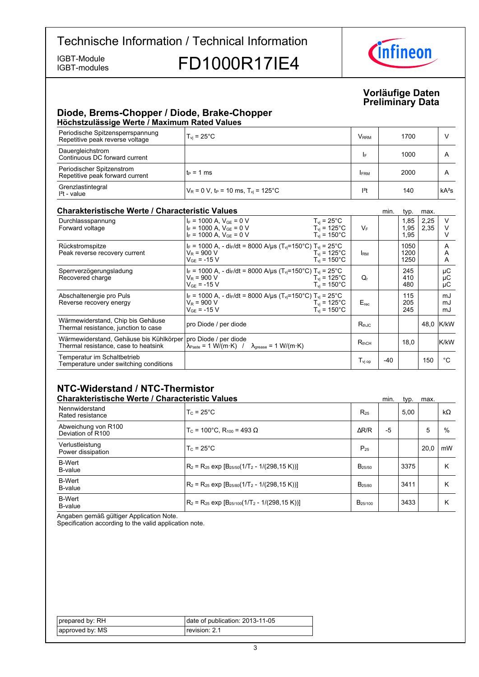IGBT-modules

IGBT-Module<br>IGBT-modules FD1000R17IE4



### **Vorläufige-Daten Preliminary-Data**

### **Diode, Brems-Chopper / Diode, Brake-Chopper Höchstzulässige-Werte-/-Maximum-Rated-Values**

| Periodische Spitzensperrspannung<br>Repetitive peak reverse voltage | $T_{vi}$ = 25 $^{\circ}$ C                                   | <b>V</b> <sub>RRM</sub> | 1700 |         |
|---------------------------------------------------------------------|--------------------------------------------------------------|-------------------------|------|---------|
| Dauergleichstrom<br>Continuous DC forward current                   |                                                              | I۴                      | 1000 | A       |
| Periodischer Spitzenstrom<br>Repetitive peak forward current        | ՝ tբ = 1 ms                                                  | <b>FRM</b>              | 2000 | A       |
| Grenzlastintegral<br>$I2t - value$                                  | $V_R$ = 0 V, t <sub>P</sub> = 10 ms, T <sub>vi</sub> = 125°C | $ ^{2}t$                | 140  | $kA^2s$ |

### **Charakteristische Werte / Characteristic**

| <b>Charakteristische Werte / Characteristic Values</b>                          |                                                                                                                                        |                                                                               |                              | min. | typ.                 | max.         |                |
|---------------------------------------------------------------------------------|----------------------------------------------------------------------------------------------------------------------------------------|-------------------------------------------------------------------------------|------------------------------|------|----------------------|--------------|----------------|
| Durchlassspannung<br>Forward voltage                                            | $I_F = 1000$ A, $V_{GE} = 0$ V<br>$I_F = 1000$ A, $V_{GE} = 0$ V<br>$I_F = 1000$ A, $V_{GE} = 0$ V                                     | $T_{vi}$ = 25 $^{\circ}$ C<br>$T_{vi}$ = 125°C<br>$T_{vi}$ = 150 $^{\circ}$ C | $V_F$                        |      | 1,85<br>1,95<br>1,95 | 2,25<br>2,35 | V<br>V<br>V    |
| Rückstromspitze<br>Peak reverse recovery current                                | $I_F$ = 1000 A, - di <sub>F</sub> /dt = 8000 A/µs (T <sub>vi</sub> =150°C) T <sub>vi</sub> = 25°C<br>$V_R$ = 900 V<br>$V_{GF}$ = -15 V | $T_{\rm vi}$ = 125°C<br>$T_{\rm vi}$ = 150 $^{\circ}$ C                       | <b>IRM</b>                   |      | 1050<br>1200<br>1250 |              | A<br>A<br>A    |
| Sperrverzögerungsladung<br>Recovered charge                                     | $I_F$ = 1000 A, - di $_F$ /dt = 8000 A/µs (T <sub>vi</sub> =150°C) T <sub>vi</sub> = 25°C<br>$V_R$ = 900 V<br>$V_{GF}$ = -15 V         | $T_{vi}$ = 125°C<br>$T_{vi}$ = 150 $^{\circ}$ C                               | Q,                           |      | 245<br>410<br>480    |              | μC<br>μC<br>μC |
| Abschaltenergie pro Puls<br>Reverse recovery energy                             | $I_F$ = 1000 A, - di <sub>F</sub> /dt = 8000 A/µs (T <sub>vi</sub> =150°C) T <sub>vi</sub> = 25°C<br>$V_R$ = 900 V<br>$V_{GF}$ = -15 V | $T_{\rm vi}$ = 125°C<br>$T_{\rm vi}$ = 150 $^{\circ}$ C                       | $E_{rec}$                    |      | 115<br>205<br>245    |              | mJ<br>mJ<br>mJ |
| Wärmewiderstand, Chip bis Gehäuse<br>Thermal resistance, junction to case       | pro Diode / per diode                                                                                                                  |                                                                               | $R_{th,IC}$                  |      |                      |              | 48,0 K/kW      |
| Wärmewiderstand, Gehäuse bis Kühlkörper<br>Thermal resistance, case to heatsink | pro Diode / per diode<br>$\lambda_{\text{Paste}} = 1 \text{ W/(m·K)}$ / $\lambda_{\text{grease}} = 1 \text{ W/(m·K)}$                  |                                                                               | $R_{thCH}$                   |      | 18.0                 |              | K/kW           |
| Temperatur im Schaltbetrieb<br>Temperature under switching conditions           |                                                                                                                                        |                                                                               | $\mathsf{T}_\mathsf{vi\ op}$ | -40  |                      | 150          | °€             |

### **NTC-Widerstand-/-NTC-Thermistor**

| <b>Charakteristische Werte / Characteristic Values</b> |                                                          |                     | min. | typ. | max. |           |
|--------------------------------------------------------|----------------------------------------------------------|---------------------|------|------|------|-----------|
| Nennwiderstand<br>Rated resistance                     | $T_c = 25^{\circ}$ C                                     | $R_{25}$            |      | 5.00 |      | $k\Omega$ |
| Abweichung von R100<br>Deviation of R100               | $T_c$ = 100°C. R <sub>100</sub> = 493 Ω                  | $\Delta$ R/R        | -5   |      | 5    | %         |
| Verlustleistung<br>Power dissipation                   | $T_c = 25^{\circ}$ C                                     | $P_{25}$            |      |      | 20.0 | mW        |
| <b>B-Wert</b><br>B-value                               | $R_2 = R_{25}$ exp $[B_{25/50}(1/T_2 - 1/(298.15 K))]$   | $B_{25/50}$         |      | 3375 |      | Κ         |
| <b>B-Wert</b><br>B-value                               | $R_2 = R_{25}$ exp $[B_{25/80}(1/T_2 - 1/(298.15 K))]$   | B <sub>25/80</sub>  |      | 3411 |      | K         |
| <b>B-Wert</b><br>B-value                               | $R_2 = R_{25}$ exp $[B_{25/100}(1/T_2 - 1/(298, 15 K))]$ | B <sub>25/100</sub> |      | 3433 |      | Κ         |

Angaben gemäß gültiger Application Note.

Specification according to the valid application note.

| prepared by: RH | date of publication: $2013-11-05$ |
|-----------------|-----------------------------------|
| approved by: MS | revision: 2.1                     |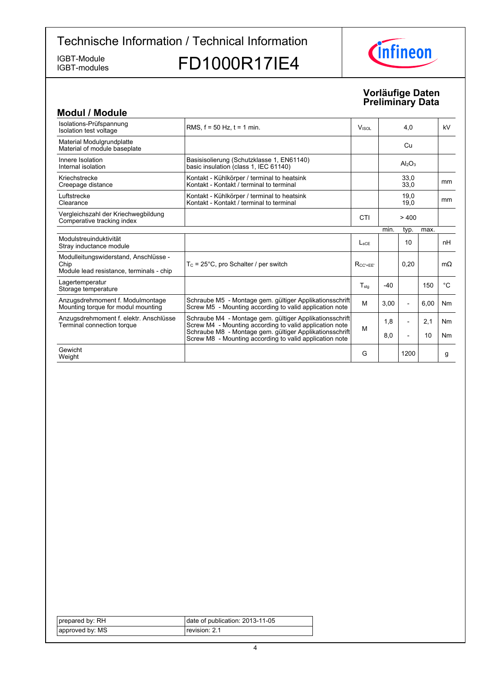IGBT-modules

IGBT-Module<br>IGBT-modules FD1000R17IE4



### **Vorläufige-Daten Preliminary-Data**

| <b>Modul / Module</b>                                                                     |                                                                                                                    |                          |       |                          |      |             |
|-------------------------------------------------------------------------------------------|--------------------------------------------------------------------------------------------------------------------|--------------------------|-------|--------------------------|------|-------------|
| Isolations-Prüfspannung<br>Isolation test voltage                                         | RMS. $f = 50$ Hz. $t = 1$ min.                                                                                     | <b>V</b> <sub>ISOL</sub> |       | 4.0                      |      | kV          |
| Material Modulgrundplatte<br>Material of module baseplate                                 |                                                                                                                    |                          |       | Cu                       |      |             |
| Innere Isolation<br>Internal isolation                                                    | Basisisolierung (Schutzklasse 1, EN61140)<br>basic insulation (class 1, IEC 61140)                                 |                          |       | $Al_2O_3$                |      |             |
| Kriechstrecke<br>Creepage distance                                                        | Kontakt - Kühlkörper / terminal to heatsink<br>Kontakt - Kontakt / terminal to terminal                            |                          |       | 33.0<br>33,0             |      | mm          |
| Luftstrecke<br>Clearance                                                                  | Kontakt - Kühlkörper / terminal to heatsink<br>Kontakt - Kontakt / terminal to terminal                            |                          |       | 19.0<br>19,0             |      | mm          |
| Vergleichszahl der Kriechwegbildung<br>Comperative tracking index                         |                                                                                                                    | CTI                      |       | >400                     |      |             |
|                                                                                           |                                                                                                                    |                          | min.  | typ.                     | max. |             |
| Modulstreuinduktivität<br>Stray inductance module                                         |                                                                                                                    | $L_{SCE}$                |       | 10                       |      | nH          |
| Modulleitungswiderstand, Anschlüsse -<br>Chip<br>Module lead resistance, terminals - chip | $T_c = 25^{\circ}$ C, pro Schalter / per switch                                                                    | $R_{CC' + FF'}$          |       | 0,20                     |      | $m\Omega$   |
| Lagertemperatur<br>Storage temperature                                                    |                                                                                                                    | $T_{\text{stq}}$         | $-40$ |                          | 150  | $^{\circ}C$ |
| Anzugsdrehmoment f. Modulmontage<br>Mounting torque for modul mounting                    | Schraube M5 - Montage gem. gültiger Applikationsschrift<br>Screw M5 - Mounting according to valid application note | M                        | 3,00  | $\overline{\phantom{a}}$ | 6,00 | Nm          |
| Anzugsdrehmoment f. elektr. Anschlüsse<br>Terminal connection torque                      | Schraube M4 - Montage gem. gültiger Applikationsschrift<br>Screw M4 - Mounting according to valid application note | M                        | 1,8   | $\overline{\phantom{0}}$ | 2,1  | <b>Nm</b>   |
|                                                                                           | Schraube M8 - Montage gem. gültiger Applikationsschrift<br>Screw M8 - Mounting according to valid application note |                          | 8,0   | $\overline{a}$           | 10   | <b>Nm</b>   |
| Gewicht<br>Weight                                                                         |                                                                                                                    | G                        |       | 1200                     |      | g           |

| prepared by: RH | date of publication: 2013-11-05 |
|-----------------|---------------------------------|
| approved by: MS | revision: 2.1                   |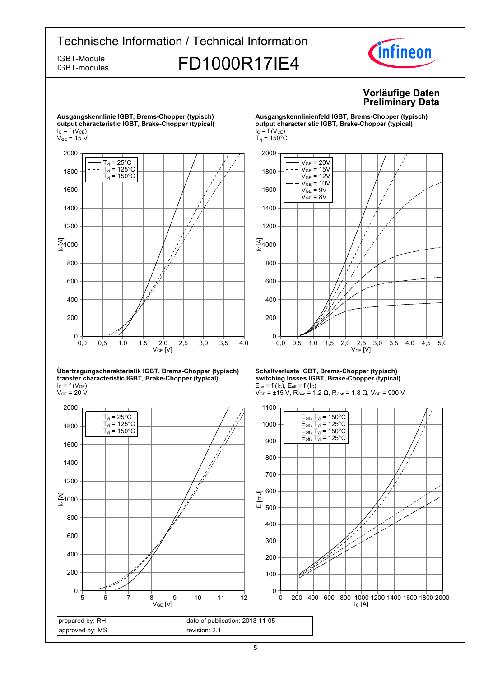IGBT-modules

# IGBT-Module<br>IGBT-modules FD1000R17IE4



### **Vorläufige-Daten Preliminary-Data**







$$
V_{CE} = 20 V
$$



**Ausgangskennlinienfeld-IGBT,-Brems-Chopper-(typisch) output-characteristic-IGBT,-Brake-Chopper-(typical)**  $I_C = f(V_{CE})$  $T_{\rm vj}$  = 150 $^{\circ}$ C



#### **Schaltverluste IGBT, Brems-Chopper (typisch) switching-losses-IGBT,-Brake-Chopper-(typical)**  $E_{on}$  = f (l<sub>C</sub>),  $E_{off}$  = f (l<sub>C</sub>)

 $V_{GE}$  = ±15 V, R<sub>Gon</sub> = 1.2 Ω, R<sub>Goff</sub> = 1.8 Ω, V<sub>CE</sub> = 900 V

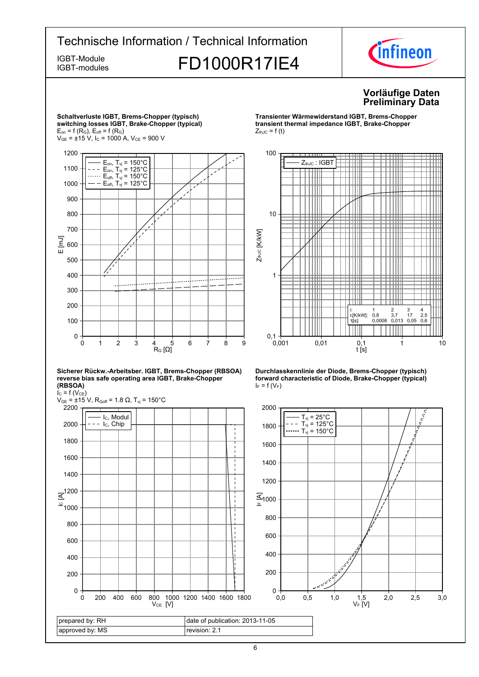IGBT-Module<br>IGBT-modules FD1000R17IE4



### **Vorläufige-Daten Preliminary-Data**



IGBT-modules



**Transienter-Wärmewiderstand-IGBT,-Brems-Choppertransient thermal impedance IGBT, Brake-Chopper**  $Z_{thJC} = f(t)$ 



**Durchlasskennlinie der Diode, Brems-Chopper (typisch) forward-characteristic-of-Diode,-Brake-Chopper-(typical)**



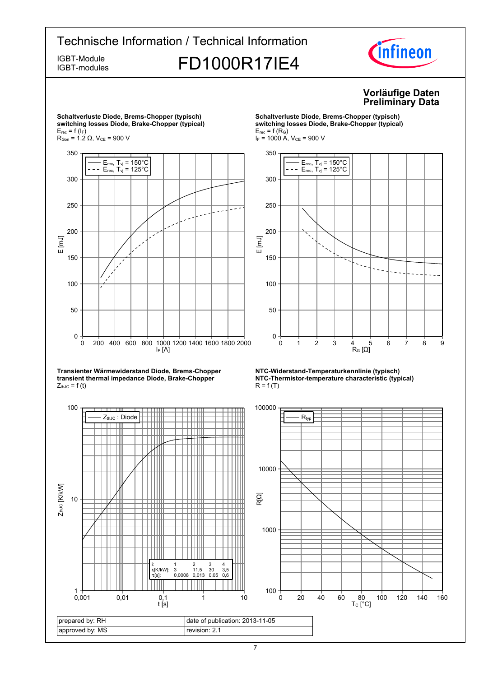IGBT-modules

# IGBT-Module<br>IGBT-modules FD1000R17IE4



### **Vorläufige-Daten Preliminary-Data**













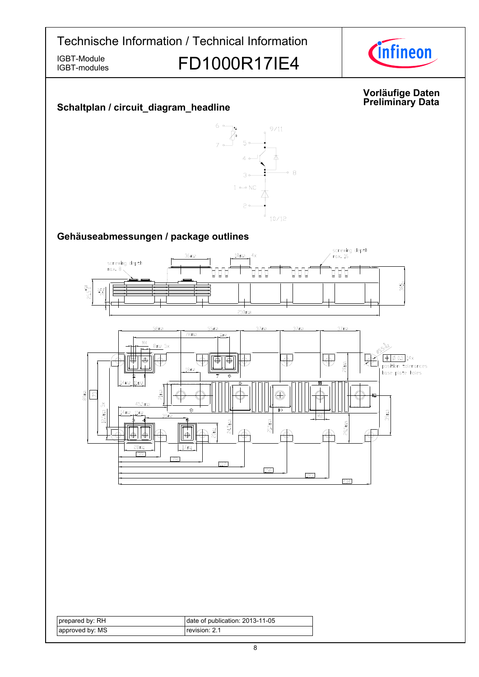IGBT-modules

IGBT-Module<br>IGBT-modules FD1000R17IE4



#### **Vorläufige-Daten Data Schaltplan-/-circuit\_diagram\_headline Preliminary-** $\overrightarrow{A}$  $9/11$  $5.$  $\overline{4}$ 8  $\mathcal{R}$  $1 \rightarrow \text{NC}$  $\overline{c}$  $10/12$ Gehäuseabmessungen / package outlines screwing depth  $18 + 0.2$  $4x$ max. 16 screwing depth<br>max. 8 비비 비비비 비비 且且且  $^{11}_{80}$  $250 + 0.8$  $58 + 0.3$ 55±0  $37 + 0.3$  $27 + 0.5$  $27 + 0.2$  $78 + 0.3$ 11±na  $M<sub>4</sub>$ 8±0.2 5x  $\sqrt{\phi$  |  $\phi$  0.5 | 14x  $\overline{\bigoplus}$  $\overline{\oplus}$  $\bigoplus$  $\bigoplus$ ❺ 0 ₩ ₽  $-8405$ position tolerances  $18 + 0.2$ .<br>base plate holes  $rac{2}{2}$  $45.5 + 0.$  $\geq$  $12.5 + 0.3$ 39±0.3  $14 + 0.2$  11  $\pm 0.2$  $21.5 + 0.3$ 24.5±0.3 29,5±0.5  $20m$ 精 ⊕  $\blacklozenge$ Ð ⊮ 10 4  $28 + 0.1$  $17+0.1$  $\boxed{39}$  $\sqrt{78}$  $\boxed{117}$  $\overline{156}$  $195$  $[234]$ prepared by: RH date of publication: 2013-11-05 approved by: MS revision: 2.1